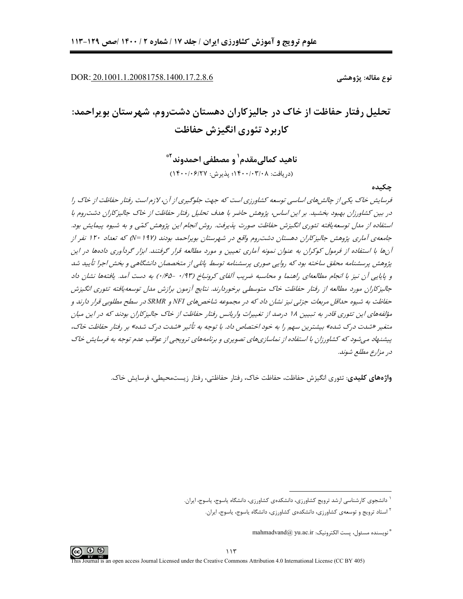DOR: 20.1001.1.20081758.1400.17.2.8.6

نوع مقاله: پژوهشے ِ

# تحلیل رفتار حفاظت از خاک در جالیزکاران دهستان دشت٫وم، شهرستان بویراحمد: کاربرد تئوری انگیزش حفاظت

ناهيد كمالي مقدم<sup>\</sup> و مصطفى احمدوند<sup>٢</sup>\* (د, یافت: ۱۴۰۰/۰۳/۰۸؛ پذیرش: ۱۴۰۰/۰۶/۲۷)

چکىدە

فرسایش خاک یکی از چالش های اساسی توسعه کشاورزی است که جهت جلوگیری از آن، لازم است رفتار حفاظت از خاک را در بین کشاورزان بهبود بخشید. بر این اساس ، پژوهش حاضر با هدف تحلیل رفتار حفاظت از خاک جالیزکاران دشت وم با استفاده از مدل توسعه یافته تئوری انگیزش حفاظت صورت پذیرفت. روش انجام این پژوهش کمّی و به شیوه پیمایش بود. جامعهی آماری پژوهش جالیزکاران دهستان دشت روم واقع در شهرستان بویراحمد بودند (۱۹۷ =N) که تعداد ۱۲۰ نفر از آنها با استفاده از فرمول کوکران به عنوان نمونه آماری تعیین و مورد مطالعه قرار گرفتند. ابزار گردآوری دادهها در این پژوهش پرسشنامه محقق ساخته بود که روایی صوری پرسشنامه توسط پانلی از متخصصان دانشگاهی و بخش اجرا تأیید شد و پایایی آن نیز با انجام مطالعهای راهنما و محاسبه ضریب آلفای کرونباخ (۰/۹۳ -۰/۶۵) به دست آمد. یافتهها نشان داد جالیزکاران مورد مطالعه از رفتار حفاظت خاک متوسطی برخوردارند. نتایج آزمون برازش مدل توسعه یافته تئوری انگیزش حفاظت به شیوه حداقل مربعات جزئی نیز نشان داد که در مجموعه شاخص های NFI و SRMR در سطح مطلوبی قرار دارند و مؤلفههای این تئوری قادر به تبیین ۱۸ درصد از تغییرات واریانس رفتار حفاظت از خاک جالیزکاران بودند که در این میان متغیر «شدت درک شده» بیشترین سهم را به خود *اختصاص داد. با توجه به تأثیر «شدت درک شده» بر رفتار حفاظت خاک*، پیشنهاد می شود که کشاورزان با استفاده از نماسازیهای تصویری و برنامههای ترویجی از عواقب عدم توجه به فرسایش خاک در مزارع مطلع شوند.

واژههای کلیدی: تئوری انگیزش حفاظت، حفاظت خاک، رفتار حفاظتی، رفتار زیستمحیطی، فرسایش خاک.

<sup>&</sup>lt;sup>۱</sup> دانشجوی کارشناسی ارشد ترویج کشاورزی، دانشکدهی کشاورزی، دانشگاه یاسوج، یاسوج، ایران.

<sup>&</sup>lt;sup>۲</sup> استاد ترویج و توسعهی کشاورزی، دانشکدهی کشاورزی، دانشگاه یاسوج، یاسوج، ایران.

<sup>&</sup>quot; نويسنده مسئول، يست الكترونيك: mahmadvand@ yu.ac.ir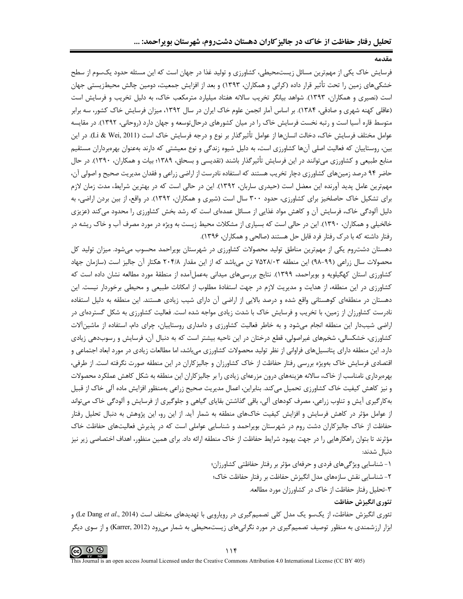وقدوه

فرسایش خاک یکی از مهمترین مسائل زیستمحیطی، کشاورزی و تولید غذا در جهان است که این مسئله حدود یکسوم از سطح خشکیهای زمین را تحت تأثیر قرار داده (کرانی و همکاران، ۱۳۹۳) و بعد از افزایش جمعیت، دومین چالش محیطزیستی جهان است (نصیری و همکاران، ۱۳۹۳). شواهد بیانگر تخریب سالانه هفتاد میلیارد مترمکعب خاک، به دلیل تخریب و فرسایش است (عاقلی کهنه شهری و صادقی، ۱۳۸۴). بر اساس آمار انجمن علوم خاک ایران در سال ۱۳۹۲، میزان فرسایش خاک کشور، سه برابر متوسط قاره آسیا است و رتبه نخست فرسایش خاک را در میان کشورهای درحال توسعه و جهان دارد (روحانی، ۱۳۹۲). در مقایسه عوامل مختلف فرسایش خاک، دخالت انسانها از عوامل تأثیرگذار بر نوع و درجه فرسایش خاک است (Li & Wei, 2011). در این بین، روستاییان که فعالیت اصلی آنها کشاورزی است، به دلیل شیوه زندگی و نوع معیشتی که دارند بهعنوان بهرهبرداران مستقیم منابع طبیعی و کشاورزی می توانند در این فرسایش تأثیرگذار باشند (تقدیسی و بسحاق، ۱۳۸۹؛ بیات و همکاران، ۱۳۹۰). در حال حاضر ۹۴ درصد زمینهای کشاورزی دچار تخریب هستند که استفاده نادرست از اراضی زراعی و فقدان مدیریت صحیح و اصولی آن، مهم ترین عامل پدید آورنده این معضل است (حیدری ساربان، ۱۳۹۲). این در حالی است که در بهترین شرایط، مدت زمان لازم برای تشکیل خاک حاصلخیز برای کشاورزی، حدود ۳۰۰ سال است (شیری و همکاران، ۱۳۹۲). در واقع، از بین بردن اراضی، به دلیل آلودگی خاک، فرسایش آن و کاهش مواد غذایی از مسائل عمدهای است که رشد بخش کشاورزی را محدود میکند (عزیزی خالخیلی و همکاران، ۱۳۹۰). این در حالی است که بسیاری از مشکلات محیط زیست به ویژه در مورد مصرف آب و خاک ریشه در رفتار داشته که با درک رفتار فرد قابل حل هستند (صالحی و همکاران، ۱۳۹۶).

دهستان دشت٫وم یکی از مهمترین مناطق تولید محصولات کشاورزی در شهرستان بویراحمد محسوب میشود. میزان تولید کل محصولات سال زراعی (۹۹–۹۸) این منطقه ۷۵۲۸/۰۳ تن میباشد که از این مقدار ۲۰۴/۸ هکتار آن جالیز است (سازمان جهاد کشاورزی استان کهگیلویه و بویراحمد، ۱۳۹۹). نتایج بررسیهای میدانی بهعملآمده از منطقهٔ مورد مطالعه نشان داده است که کشاورزی در این منطقه، از هدایت و مدیریت لازم در جهت استفادهٔ مطلوب از امکانات طبیعی و محیطی برخوردار نیست. این دهستان در منطقهای کوهستانی واقع شده و درصد بالایی از اراضی آن دارای شیب زیادی هستند. این منطقه به دلیل استفاده نادرست کشاورزان از زمین، با تخریب و فرسایش خاک با شدت زیادی مواجه شده است. فعالیت کشاورزی به شکل گستردهای در اراضی شیبدار این منطقه انجام میشود و به خاطر فعالیت کشاورزی و دامداری روستاییان، چرای دام، استفاده از ماشینآلات کشاورزی، خشکسالی، شخمهای غیراصولی، قطع درختان در این ناحیه بیشتر است که به دنبال آن، فرسایش و رسوبدهی زیادی دارد. این منطقه دارای پتانسیلهای فراوانی از نظر تولید محصولات کشاورزی میباشد، اما مطالعات زیادی در مورد ابعاد اجتماعی و اقتصادی فرسایش خاک بهویژه بررسی رفتار حفاظت از خاک کشاورزان و جالیزکاران در این منطقه صورت نگرفته است. از طرفی، بهرهبرداری نامناسب از خاک، سالانه هزینههای درون مزرعهای زیادی را بر جالیزکاران این منطقه به شکل کاهش عملکرد محصولات و نیز کاهش کیفیت خاک کشاورزی تحمیل می کند. بنابراین، اعمال مدیریت صحیح زراعی بهمنظور افزایش ماده آلی خاک از قبیل بهکارگیری آیش و تناوب زراعی، مصرف کودهای آلی، باقی گذاشتن بقایای گیاهی و جلوگیری از فرسایش و آلودگی خاک میتواند از عوامل مؤثر در کاهش فرسایش و افزایش کیفیت خاکهای منطقه به شمار آید. از این رو، این پژوهش به دنبال تحلیل رفتار حفاظت از خاک جالیزکاران دشت روم در شهرستان بویراحمد و شناسایی عواملی است که در پذیرش فعالیتهای حفاظت خاک مؤثرند تا بتوان راهکارهایی را در جهت بهبود شرایط حفاظت از خاک منطقه ارائه داد. برای همین منظور، اهداف اختصاصی زیر نیز دنبال شدند:

> ۱- شناسایی ویژگیهای فردی و حرفهای مؤثر بر رفتار حفاظتی کشاورزان؛ ۲- شناسایی نقش سازههای مدل انگیزش حفاظت بر رفتار حفاظت خاک؛ ۳-تحلیل رفتار حفاظت از خاک در کشاورزان مورد مطالعه. تئوري انگيزش حفاظت

تئوری انگیزش حفاظت، از یکسو یک مدل کلی تصمیمگیری در رویارویی با تهدیدهای مختلف است (Le Dang *et al.*, 2014) و ابزار ارزشمندی به منظور توصیف تصمیم گیری در مورد نگرانیهای زیستمحیطی به شمار میرود (Karrer, 2012) و از سوی دیگر

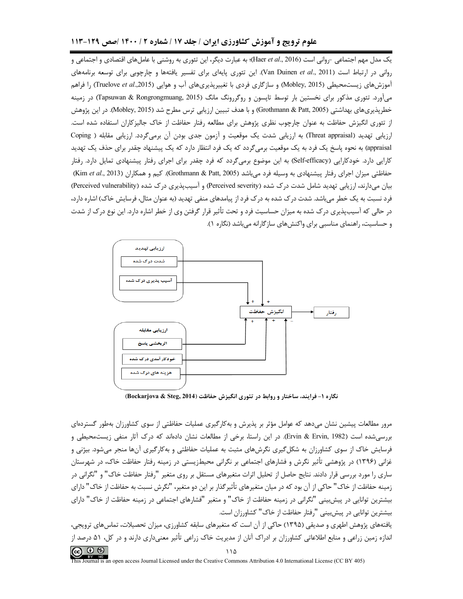#### علوم ترویج و آموزش کشاورزی ایران / جلد ۱۷ / شماره ۲ / ۱۴۰۰ /صص ۱۲۹-۱۱۳

یک مدل مهم اجتماعی -روانی است (Haer et al., 2016)؛ به عبارت دیگر، این تئوری به روشنی با عاملهای اقتصادی و اجتماعی و روانی در ارتباط است (Van Duinen et al., 2011). این تئوری پایهای برای تفسیر یافتهها و چارچوبی برای توسعه برنامههای آموزش های زیست محیطی (Mobley, 2015) و سازگاری فردی با تغییریذیری های آب و هوایی (Truelove *et al.,*2015) را فراهم میآورد. تئوری مذکور برای نخستین بار توسط تاپسون و روگررونگ مانگ (Tapsuwan & Rongrongmuang, 2015) در زمینه خطرپذیریهای بهداشتی (Grothmann & Patt, 2005) و با هدف تبیین ارزیابی ترس مطرح شد (Mobley, 2015). در این پژوهش از تئوری انگیزش حفاظت به عنوان چارچوب نظری پژوهش برای مطالعه رفتار حفاظت از خاک جالیزکاران استفاده شده است. ارزیابی تهدید (Threat appraisal) به ارزیابی شدت یک موقعیت و آزمون جدی بودن آن برمیگردد. ارزیابی مقابله ( Coping appraisal) به نحوه پاسخ یک فرد به یک موقعیت برمیگردد که یک فرد انتظار دارد که یک پیشنهاد چقدر برای حذف یک تهدید کارایی دارد. خودکارایی (Self-efficacy) به این موضوع برمی5ردد که فرد چقدر برای اجرای رفتار پیشنهادی تمایل دارد. رفتار حفاظتی میزان اجرای رفتار پیشنهادی به وسیله فرد می باشد (Grothmann & Patt, 2005). کیم و همکاران (Kim et al., 2013) بیان میدارند، ارزیابی تهدید شامل شدت درک شده (Perceived severity) و آسیبپذیری درک شده (Perceived vulnerability) فرد نسبت به یک خطر می باشد. شدت در ک شده به در ک فرد از پیامدهای منفی تهدید (به عنوان مثال، فرسایش خاک) اشاره دارد، در حالی که آسیبپذیری درک شده به میزان حساسیت فرد و تحت تأثیر قرار گرفتن وی از خطر اشاره دارد. این نوع درک از شدت و حساسیت، راهنمای مناسبی برای واکنش های سازگارانه می باشد (نگاره ۱).



نگاره ۱- فرایند، ساختار و روابط در تئوری انگیزش حفاظت (Bockarjova & Steg, 2014)

مرور مطالعات پیشین نشان میدهد که عوامل مؤثر بر پذیرش و بهکارگیری عملیات حفاظتی از سوی کشاورزان بهطور گستردهای بررسی شده است (Ervin & Ervin, 1982). در این راستا، برخی از مطالعات نشان دادهاند که درک آثار منفی زیستمحیطی و فرسایش خاک از سوی کشاورزان به شکل گیری نگرشهای مثبت به عملیات حفاظتی و بهکارگیری آنها منجر میشود. بیژنی و غزانی (۱۳۹۶) در پژوهشی تأثیر نگرش و فشارهای اجتماعی بر نگرانی محیطزیستی در زمینه رفتار حفاظت خاک، در شهرستان ساری را مورد بررسی قرار دادند. نتایج حاصل از تحلیل اثرات متغیرهای مستقل بر روی متغیر "رفتار حفاظت خاک" و "نگرانی در زمینه حفاظت از خاک" حاکی از آن بود که در میان متغیرهای تأثیر گذار بر این دو متغیر، "نگرش نسبت به حفاظت از خاک" دارای بیشترین توانایی در پیش بینی "نگرانی در زمینه حفاظت از خاک" و متغیر "فشارهای اجتماعی در زمینه حفاظت از خاک" دارای بیشترین توانایی در پیش بینی "رفتار حفاظت از خاک" کشاورزان است.

یافتههای پژوهش اطهری و صدیقی (۱۳۹۵) حاکی از آن است که متغیرهای سابقه کشاورزی، میزان تحصیلات، تماس۵ای ترویجی، اندازه زمین زراعی و منابع اطلاعاتی کشاورزان بر ادراک آنان از مدیریت خاک زراعی تأثیر معنیداری دارند و در کل، ۵۱ درصد از  $\circledcirc$   $\circledcirc$ 

his Journal is an open access Journal Licensed under the Creative Commons Attribution 4.0 International License (CC BY 405)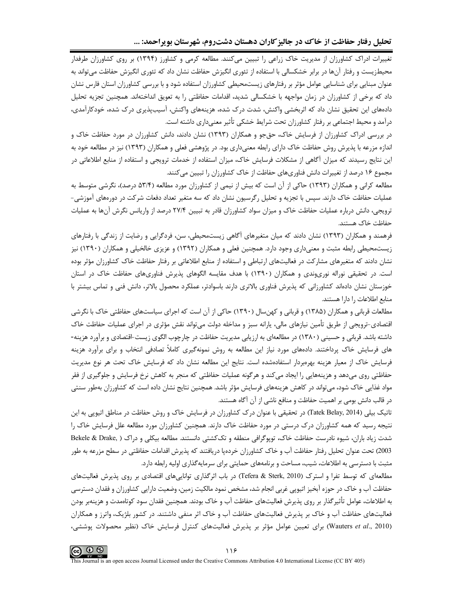تحلیل رفتار حفاظت از خاک در جالیز کاران دهستان دشتروم، شهرستان بویراحمد: ...

تغییرات ادراک کشاورزان از مدیریت خاک زراعی را تبیین میکنند. مطالعه کرمی و کشاورز (۱۳۹۴) بر روی کشاورزان طرفدار محیطزیست و رفتار آنها در برابر خشکسالی با استفاده از تئوری انگیزش حفاظت نشان داد که تئوری انگیزش حفاظت میتواند به عنوان مبنایی برای شناسایی عوامل مؤثر بر رفتارهای زیستمحیطی کشاورزان استفاده شود و با بررسی کشاورزان استان فارس نشان داد که برخی از کشاورزان در زمان مواجهه با خشکسالی شدید، اقدامات حفاظتی را به تعویق انداختهاند. همچنین تجزیه تحلیل دادههای این تحقیق نشان داد که اثربخشی واکنش، شدت درک شده، هزینههای واکنش، آسیبپذیری درک شده، خودکارآمدی، درآمد و محیط اجتماعی بر رفتار کشاورزان تحت شرایط خشکی تأثیر معنیداری داشته است.

در بررسی ادراک کشاورزان از فرسایش خاک، حقجو و همکاران (۱۳۹۳) نشان دادند، دانش کشاورزان در مورد حفاظت خاک و اندازه مزرعه با پذیرش روش حفاظت خاک دارای رابطه معنیداری بود. در پژوهشی فعلی و همکاران (۱۳۹۳) نیز در مطالعه خود به این نتایج رسیدند که میزان آگاهی از مشکلات فرسایش خاک، میزان استفاده از خدمات ترویجی و استفاده از منابع اطلاعاتی در مجموع ۱۶ درصد از تغییرات دانش فناوریهای حفاظت از خاک کشاورزان را تبیین می کنند.

مطالعه کرانی و همکاران (۱۳۹۳) حاکی از آن است که بیش از نیمی از کشاورزان مورد مطالعه (۵۳/۴ درصد)، نگرشی متوسط به عملیات حفاظت خاک دارند. سپس با تجزیه و تحلیل رگرسیون نشان داد که سه متغیر تعداد دفعات شرکت در دورههای آموزشی-ترویجی، دانش درباره عملیات حفاظت خاک و میزان سواد کشاورزان قادر به تبیین ۲۷/۴ درصد از واریانس نگرش آنها به عملیات حفاظت خاک هستند.

فرهمند و همکاران (۱۳۹۳) نشان دادند که میان متغیرهای آگاهی زیستمحیطی، سن، فردگرایی و رضایت از زندگی با رفتارهای زیستمحیطی رابطه مثبت و معنیداری وجود دارد. همچنین فعلی و همکاران (۱۳۹۲) و عزیزی خالخیلی و همکاران (۱۳۹۰) نیز نشان دادند که متغیرهای مشارکت در فعالیتهای ارتباطی و استفاده از منابع اطلاعاتی بر رفتار حفاظت خاک کشاورزان مؤثر بوده است. در تحقیقی نوراله نوریوندی و همکاران (۱۳۹۰) با هدف مقایسه الگوهای پذیرش فناوریهای حفاظت خاک در استان خوزستان نشان دادهاند کشاورزانی که پذیرش فناوری بالاتری دارند باسوادتر، عملکرد محصول بالاتر، دانش فنی و تماس بیشتر با منابع اطلاعات را دارا هستند.

مطالعات قربانی و همکاران (۱۳۸۵) و قربانی و کهنِسال (۱۳۹۰) حاکی از آن است که اجرای سیاستهای حفاظتی خاک با نگرشی اقتصادی-ترویجی از طریق تأمین نیازهای مالی، پارانه سبز و مداخله دولت میتواند نقش مؤثری در اجرای عملیات حفاظت خاک داشته باشد. قربانی و حسینی (۱۳۸۰) در مطالعهای به ارزیابی مدیریت حفاظت در چارچوب الگوی زیست-اقتصادی و برآورد هزینه-های فرسایش خاک پرداختند. دادههای مورد نیاز این مطالعه به روش نمونهگیری کاملاً تصادفی انتخاب و برای برآورد هزینه فرسایش خاک از معیار هزینه بهرمبردار استفادهشده است. نتایج این مطالعه نشان داد که فرسایش خاک تحت هر نوع مدیریت حفاظتی روی میدهد و هزینههایی را ایجاد میکند و هرگونه عملیات حفاظتی که منجر به کاهش نرخ فرسایش و جلوگیری از فقر مواد غذایی خاک شود، می تواند در کاهش هزینههای فرسایش مؤثر باشد. همچنین نتایج نشان داده است که کشاورزان بهطور سنتی در قالب دانش بومی بر اهمیت حفاظت و منافع ناشی از آن آگاه هستند.

تاتیک بیلی (Tatek Belay, 2014) در تحقیقی با عنوان درک کشاورزان در فرسایش خاک و روش حفاظت در مناطق اتیوپی به این نتیجه رسید که همه کشاورزان درک درستی در مورد حفاظت خاک دارند. همچنین کشاورزان مورد مطالعه علل فرسایش خاک را شدت زياد باران، شيوه نادرست حفاظت خاک، توپوگرافي منطقه و تک کشتي دانستند. مطالعه بيکلي و دراک ( , Bekele & Drake 2003) تحت عنوان تحليل رفتار حفاظت آب و خاک کشاورزان خردهپا دريافتند که پذيرش اقدامات حفاظتي در سطح مزرعه به طور مثبت با دسترسی به اطلاعات، شیب، مساحت و برنامههای حمایتی برای سرمایهگذاری اولیه رابطه دارد.

مطالعهای که توسط تفرا و استرک (Tefera & Sterk, 2010) در باب اثرگذاری تواناییهای اقتصادی بر روی پذیرش فعالیتهای حفاظت آب و خاک در حوزه آبخیز اتیوپی غربی انجام شد، مشخص نمود مالکیت زمین، وضعیت دارایی کشاورزان و فقدان دسترسی به اطلاعات، عوامل تأثیرگذار بر روی پذیرش فعالیتهای حفاظت آب و خاک بودند. همچنین فقدان سود کوتاهمدت و هزینهبر بودن فعالیتهای حفاظت آب و خاک بر پذیرش فعالیتهای حفاظت آب و خاک اثر منفی داشتند. در کشور بلژیک، واترز و همکاران (Wauters et al., 2010) برای تعیین عوامل مؤثر بر پذیرش فعالیتهای کنترل فرسایش خاک (نظیر محصولات پوششی،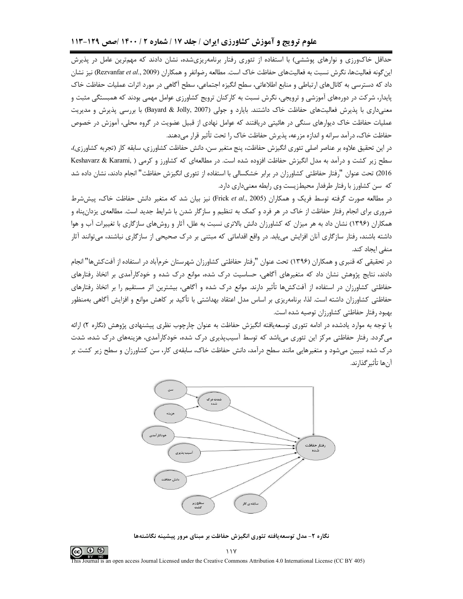حداقل خاکورزی و نوارهای پوششی) با استفاده از تئوری رفتار برنامهریزیشده، نشان دادند که مهمترین عامل در پذیرش این گونه فعالیتها، نگرش نسبت به فعالیتهای حفاظت خاک است. مطالعه رضوانفر و همکاران (Rezvanfar *et al.*, 2009) نیز نشان داد که دسترسی به کانالهای ارتباطی و منابع اطلاعاتی، سطح انگیزه اجتماعی، سطح آگاهی در مورد اثرات عملیات حفاظت خاک پایدار، شرکت در دورههای آموزشی و ترویجی، نگرش نسبت به کارکنان ترویج کشاورزی عوامل مهمی بودند که همبستگی مثبت و معنیداری با پذیرش فعالیتهای حفاظت خاک داشتند. بایارد و جولی (Bayard & Jolly, 2007) با بررسی پذیرش و مدیریت عملیات حفاظت خاک دیوارهای سنگی در هائیتی دریافتند که عوامل نهادی از قبیل عضویت در گروه محلی، آموزش در خصوص حفاظت خاک، درآمد سرانه و اندازه مزرعه، پذیرش حفاظت خاک را تحت تأثیر قرار می دهند.

در این تحقیق علاوه بر عناصر اصلی تئوری انگیزش حفاظت، پنج متغیر سن، دانش حفاظت کشاورزی، سابقه کار (تجربه کشاورزی)، سطح زیر کشت و درآمد به مدل انگیزش حفاظت افزوده شده است. در مطالعهای که کشاورز و کرمی ( Keshavarz & Karami, 2016) تحت عنوان "رفتار حفاظتي كشاورزان در برابر خشكسالي با استفاده از تئوري انگيزش حفاظت" انجام دادند، نشان داده شد که سن کشاورز با رفتار طرفدار محیطزیست وی رابطه معنیداری دارد.

در مطالعه صورت گرفته توسط فریک و همکاران (Frick *et al.*, 2005) نیز بیان شد که متغیر دانش حفاظت خاک، پیششرط ضروری برای انجام رفتار حفاظت از خاک در هر فرد و کمک به تنظیم و سازگار شدن با شرایط جدید است. مطالعهی یزدانپناه و همکاران (۱۳۹۶) نشان داد به هر میزان که کشاورزان دانش بالاتری نسبت به علل، آثار و روشهای سازگاری با تغییرات آب و هوا داشته باشند، رفتار سازگاری آنان افزایش می یابد. در واقع اقداماتی که مبتنی بر درک صحیحی از سازگاری نباشند، میتوانند آثار منفی ایجاد کند.

در تحقیقی که قنبری و همکاران (۱۳۹۶) تحت عنوان "رفتار حفاظتی کشاورزان شهرستان خرمآباد در استفاده از آفتکشها" انجام دادند، نتایج پژوهش نشان داد که متغیرهای آگاهی، حساسیت درک شده، موانع درک شده و خودکارآمدی بر اتخاذ رفتارهای حفاظتی کشاورزان در استفاده از آفتکشها تأثیر دارند. موانع درک شده و آگاهی، بیشترین اثر مستقیم را بر اتخاذ رفتارهای حفاظتی کشاورزان داشته است. لذا، برنامهریزی بر اساس مدل اعتقاد بهداشتی با تأکید بر کاهش موانع و افزایش آگاهی بهمنظور بهبود رفتار حفاظتي كشاورزان توصيه شده است.

با توجه به موارد یادشده در ادامه تئوری توسعهیافته انگیزش حفاظت به عنوان چارچوب نظری پیشنهادی پژوهش (نگاره ۲) ارائه می¢ردد. رفتار حفاظتی مرکز این تئوری میµشد که توسط آسیبپذیری درک شده، خودکارآمدی، هزینههای درک شده، شدت درک شده تبیین می شود و متغیرهایی مانند سطح درآمد، دانش حفاظت خاک، سابقهی کار، سن کشاورزان و سطح زیر کشت بر آنها تأثير گذارند.



نگاره ۲- مدل توسعه یافته تئوری انگیزش حفاظت بر مبنای مرور پیشینه نگاشتهها



 $\frac{1}{1}$ 

al is an open access Journal Licensed under the Creative Commons Attribution 4.0 International License (CC BY 405)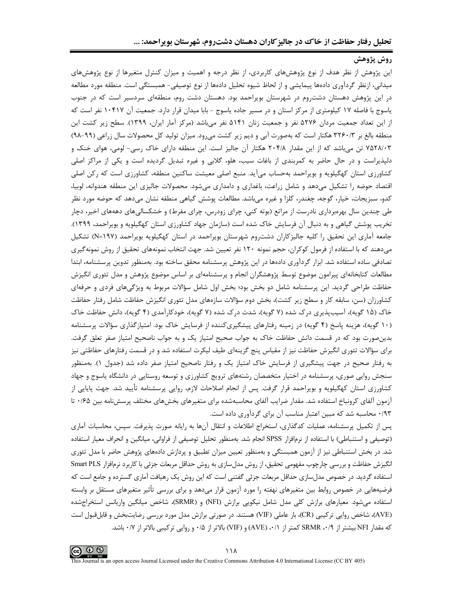# روش پژوهش

این پژوهش از نظر هدف از نوع پژوهشهای کاربردی، از نظر درجه و اهمیت و میزان کنترل متغیرها از نوع پژوهشهای ميداني، ازنظر گردآوري دادهها پيمايشي و از لحاظ شيوه تحليل دادهها از نوع توصيفي– همبستگي است. منطقه مورد مطالعه در این پژوهش دهستان دشتروم در شهرستان بویراحمد بود. دهستان دشت روم، منطقهای سردسیر است که در جنوب یاسوج با فاصله ۱۷ کیلومتری از مرکز استان و در مسیر جاده یاسوج - بابا میدان قرار دارد. جمعیت آن ۱۰۴۱۷ نفر است که از این تعداد جمعیت مردان ۵۲۷۶ نفر و جمعیت زنان ۵۱۴۱ نفر میباشد (مرکز آمار ایران، ۱۳۹۹). سطح زیر کشت این منطقه بالغ بر ۳۲۶۰/۳ هکتار است که بهصورت آبی و دیم زیر کشت میرود. میزان تولید کل محصولات سال زراعی (۹۹-۹۸) ۷۵۲۸/۰۳ تن میباشد که از این مقدار ۲۰۴/۸ هکتار آن جالیز است. این منطقه دارای خاک رسی- لومی، هوای خنک و دلپذیراست و در حال حاضر به کمربندی از باغات سیب، هلو، گلابی و غیره تبدیل گردیده است و یکی از مراکز اصلی کشاورزی استان کهگیلویه و بویراحمد بهحساب میآید. منبع اصلی معیشت ساکنین منطقه، کشاورزی است که رکن اصلی اقتصاد حوضه را تشکیل میدهد و شامل زراعت، باغداری و دامداری میشود. محصولات جالیزی این منطقه هندوانه، لوبیا، کدو، سبزیجات، خیار، گوجه، چغندر، کلزا و غیره میباشد. مطالعات پوشش گیاهی منطقه نشان میدهد که حوضه مورد نظر طی چندین سال بهرهبرداری نادرست از مراتع (بوته کنی، چرای زودرس، چرای مفرط) و خشکسالیهای دهههای اخیر، دچار تخریب پوشش گیاهی و به دنبال آن فرسایش خاک شده است (سازمان جهاد کشاورزی استان کهگیلویه و بویراحمد، ۱۳۹۹). جامعه آماری این تحقیق را کلیه جالیزکاران دشتروم شهرستان بویراحمد در استان کهگیلویه بویراحمد (۱۹۷-N) تشکیل میدهند که با استفاده از فرمول کوکران، حجم نمونه ۱۲۰ نفر تعیین شد. جهت انتخاب نمونههای تحقیق از روش نمونهگیری تصادفی ساده استفاده شد. ابزار گردآوری دادهها در این پژوهش پرسشنامه محقق ساخته بود. بهمنظور تدوین پرسشنامه، ابتدا مطالعات کتابخانهای پیرامون موضوع توسط پژوهشگران انجام و پرسشنامهای بر اساس موضوع پژوهش و مدل تئوری انگیزش حفاظت طراحی گردید. این پرسشنامه شامل دو بخش بود؛ بخش اول شامل سؤالات مربوط به ویژگیهای فردی و حرفهای کشاورزان (سن، سابقه کار و سطح زیر کشت)، بخش دوم سؤالات سازمهای مدل تئوری انگیزش حفاظت شامل رفتار حفاظت خاک (۱۵ گویه)، آسیب پذیری درک شده (۷ گویه)، شدت درک شده (۷ گویه)، خودکارآمدی (۴ گویه)، دانش حفاظت خاک (۱۰ گویه)، هزینه پاسخ (۴ گویه) در زمینه رفتارهای پیشگیریکننده از فرسایش خاک بود. امتیازگذاری سؤالات پرسشنامه بدین صورت بود که در قسمت دانش حفاظت خاک به جواب صحیح امتیاز یک و به جواب ناصحیح امتیاز صفر تعلق گرفت. برای سؤالات تئوری انگیزش حفاظت نیز از مقیاس پنج گزینهای طیف لیکرت استفاده شد و در قسمت رفتارهای حفاظتی نیز به رفتار صحیح در جهت پیشگیری از فرسایش خاک امتیاز یک و رفتار ناصحیح امتیاز صفر داده شد (جدول ۱). بهمنظور سنجش روایی صوری، پرسشنامه در اختیار متخصصان رشتههای ترویج کشاورزی و توسعه روستایی در دانشگاه یاسوج و جهاد کشاورزی استان کهگیلویه و بویراحمد قرار گرفت. پس از انجام اصلاحات لازم، روایی پرسشنامه تأیید شد. جهت پایایی از آزمون آلفای کرونباخ استفاده شد. مقدار ضرایب آلفای محاسبهشده برای متغیرهای بخشهای مختلف پرسشنامه بین ۱۶۵۰ تا ۰/۹۳ محاسبه شد که مبین اعتبار مناسب آن برای گردآوری داده است.

پس از تکمیل پرسشنامه، عملیات کدگذاری، استخراج اطلاعات و انتقال آنها به رایانه صورت پذیرفت. سپس، محاسبات آماری (توصیفی و استنباطی) با استفاده از نرمافزار SPSS انجام شد. بهمنظور تحلیل توصیفی از فراوانی، میانگین و انحراف معیار استفاده شد. در بخش استنباطی نیز از آزمون همبستگی و بهمنظور تعیین میزان تطبیق و پردازش دادههای پژوهش حاضر با مدل تئوری انگیزش حفاظت و بررسی چارچوب مفهومی تحقیق، از روش مدلسازی به روش حداقل مربعات جزئی با کاربرد نرمافزار Smart PLS استفاده گردید. در خصوص مدلسازی حداقل مربعات جزئی گفتنی است که این روش یک رهیافت آماری گسترده و جامع است که فرضیههایی در خصوص روابط بین متغیرهای نهفته را مورد آزمون قرار میدهد و برای بررسی تأثیر متغیرهای مستقل بر وابسته استفاده میشود. معیارهای برازش کلی مدل شامل نیکویی برازش (NFI) و (SRMR)، شاخص میانگین واریانس استخراجشده (AVE)، شاخص روایی ترکیبی (CR)، بار عاملی (VIF) هستند. در صورتی برازش مدل مورد بررسی رضایتبخش و قابلقبول است که مقدار NFI بیشتر از SRMR ،۰/۹ کمتر از (۰/۱، (AVE) و (VIF) بالاتر از ۰/۵ و روایی ترکیبی بالاتر از ۰/۷ باشد.

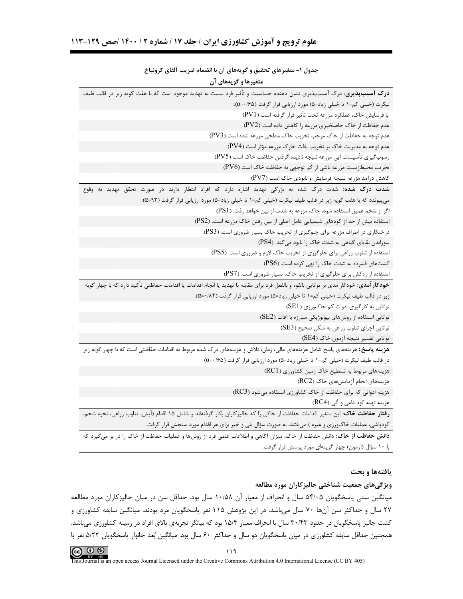| . טעני ש<br>پ                                                                                                                                  |
|------------------------------------------------------------------------------------------------------------------------------------------------|
| متغیرها و گویههای آن                                                                                                                           |
| <b>درک آسیبپذیری</b> : درک آسیبپذیری نشان دهنده حساسیت و تأثیر فرد نسبت به تهدید موجود است که با هفت گویه زیر در قالب طیف                      |
| لیکرت (خیلی کم=۱ تا خیلی زیاد=۵) مورد ارزیابی قرار گرفت (۵≠/۰=α):                                                                              |
| با فرسايش خاك، عملكرد مزرعه تحت تأثير قرار گرفته است (PV1)                                                                                     |
| عدم حفاظت از خاک حاصلخیزی مزرعه را کاهش داده است (PV2)                                                                                         |
| عدم توجه به حفاظت از خاک موجب تخریب خاک سطحی مزرعه شده است (PV3)                                                                               |
| عدم توجه به مدیریت خاک بر تخریب بافت خارک مزرعه مؤثر است (PV4)                                                                                 |
| رسوب گیری تأسیسات آبی مزرعه نتیجه نادیده گرفتن حفاظت خاک است (PV5)                                                                             |
| تخریب محیطزیست مزرعه ناشی از کم توجهی به حفاظت خاک است (PV6)                                                                                   |
| کاهش درآمد مزرعه نتیجه فرسایش و نابودی خاک است (PV7)                                                                                           |
| <b>شدت درک شده:</b> شدت درک شده به بزرگی تهدید اشاره دارد که افراد انتظار دارند در صورت تحقق تهدید به وقوع                                     |
| میپیوندد که با هفت گویه زیر در قالب طیف لیکرت (خیلی کم=۱ تا خیلی زیاد=۵) مورد ارزیابی قرار گرفت (۹۳=α):                                        |
| اگر از شخم عمیق استفاده شود، خاک مزرعه به شدت از بین خواهد رفت. (PS1)                                                                          |
| استفاده بیش از حد از کودهای شیمیایی عامل اصلی از بین رفتن خاک مزرعه است. (PS2)                                                                 |
| درختکاری در اطراف مزرعه برای جلوگیری از تخریب خاک بسیار ضروری است. (PS3)                                                                       |
| سوزاندن بقایای گیاهی به شدت خاک را نابود می کند. (PS4)                                                                                         |
| استفاده از تناوب زراعی برای جلوگیری از تخریب خاک لازم و ضروری است. (PS5)                                                                       |
| کشتهای فشرده به شدت خاک را تهی کرده است. (PS6)                                                                                                 |
| استفاده از زهکش برای جلوگیری از تخریب خاک، بسیار ضروری است. (PS7)                                                                              |
| <b>خودکار آمدی</b> : خودکارآمدی بر توانایی بالقوه و بالفعل فرد برای مقابله با تهدید یا انجام اقدامات اقدامات حفاظتی تأکید دارد که با چهار گویه |
| زیر در قالب طیف لیکرت (خیلی کم=۱ تا خیلی زیاد=۵) مورد ارزیابی قرار گرفت (۸۴→۵).                                                                |
| توانایی به کارگیری ادوات کم خاکورزی (SE1)                                                                                                      |
| توانایی استفاده از روشهای بیولوژیکی مبارزه با آفات (SE2)                                                                                       |
| توانایی اجرای تناوب زراعی به شکل صحیح (SE3)                                                                                                    |
| توانايي تفسير نتيجه آزمون خاک (SE4)                                                                                                            |
| ه <b>زینه پاسخ:</b> هزینههای پاسخ شامل هزینههای مالی، زمان، تلاش و هزینههای درک شده مربوط به اقدامات حفاظتی است که با چهار گویه زیر            |
| در قالب طيف ليكرت (خيلي كم=١ تا خيلي زياد=۵) مورد ارزيابي قرار گرفت (۵≠/٠=α)                                                                   |
| هزینههای مربوط به تسطیح خاک زمین کشاورزی (RC1)                                                                                                 |
| هزینههای انجام آزمایشهای خاک (RC2)                                                                                                             |
| هزینه ادواتی که برای حفاظت از خاک کشاورزی استفاده میشود (RC3)                                                                                  |
| هزینه تهیه کود دامی و آلی (RC4)                                                                                                                |
| <b>رفتار حفاظت خاک</b> : این متغیر اقدامات حفاظت از خاکی را که جالیزکاران بکار گرفتهاند و شامل ۱۵ اقدام (آیش، تناوب زراعی، نحوه شخم،           |
| کودپاشی، عملیات خاکورزی و غیره ) میباشد، به صورت سؤال بلی و خیر برای هر اقدام مورد سنجش قرار گرفت.                                             |
| <b>دانش حفاظت از خاک</b> : دانش حفاظت از خاک، میزان آگاهی و اطلاعات علمی فرد از روشها و عملیات حفاظت از خاک را در بر میگیرد که                 |
| با ۱۰ سؤال (آزمون) چهار گزینهای مورد پرسش قرار گرفت.                                                                                           |

#### جدول ١- متغيرهاي تحقيق و گويههاي آن با انضمام ضريب آلفاي كرونباخ

يافتهها و بحث

#### ویژگیهای جمعیت شناختی جالیز کاران مورد مطالعه

میانگین سنی پاسخگویان ۵۴/۰۵ سال و انحراف از معیار آن ۱۰/۵۸ سال بود. حداقل سن در میان جالیزکاران مورد مطالعه ۲۷ سال و حداکثر سن آنها ۷۰ سال میباشد. در این پژوهش ۱۱۵ نفر پاسخگویان مرد بودند. میانگین سابقه کشاورزی و کشت جالیز پاسخگویان در حدود ۳۰/۴۳ سال با انحراف معیار ۱۵/۴ بود که بیانگر تجربهی بالای افراد در زمینه کشاورزی میباشد. همچنین حداقل سابقه کشاورزی در میان پاسخگویان دو سال و حداکثر ۶۰ سال بود. میانگین بُعد خانوار پاسخگویان ۵/۲۲ نفر با



This Journal is an open access Journal Licensed under the Creative Commons Attribution 4.0 International License (CC BY 405)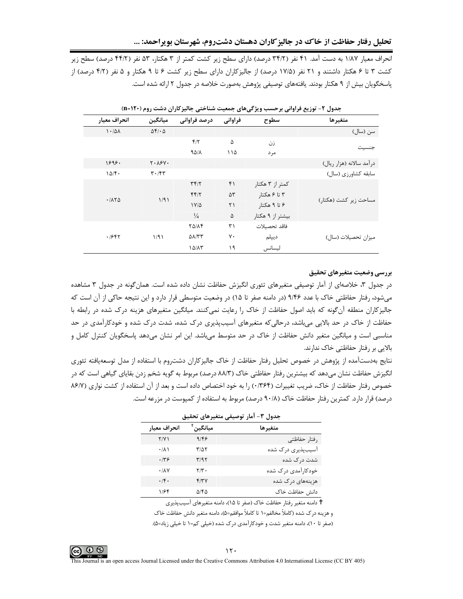انحراف معیار ۱/۸۷ به دست آمد. ۴۱ نفر (۳۴/۲ درصد) دارای سطح زیر کشت کمتر از ۳ هکتار، ۵۳ نفر (۴۴/۲ درصد) سطح زیر کشت ۳ تا ۶ هکتار داشتند و ۲۱ نفر (۱۷/۵ درصد) از جالیزکاران دارای سطح زیر کشت ۶ تا ۹ هکتار و ۵ نفر (۴/۲ درصد) از پاسخگویان بیش از ۹ هکتار بودند. یافتههای توصیفی پژوهش بهصورت خلاصه در جدول ۲ ارائه شده است.

| انحراف معيار | ميانگين                       | درصد فراوانی             | فراواني       | سطوح             | متغيرها                  |
|--------------|-------------------------------|--------------------------|---------------|------------------|--------------------------|
| 1.44         | $\Delta f / \cdot \Delta$     |                          |               |                  | سن (سال)                 |
|              |                               | $f/\tau$                 | ۵             | زن               |                          |
|              |                               | $90/\lambda$             | ۱۱۵           | مر د             | حنست                     |
| 1898.        | $Y \cdot \lambda Y Y$         |                          |               |                  | درآمد سالانه (هزار ريال) |
| 10/F         | $\mathbf{r} \cdot \mathbf{r}$ |                          |               |                  | سابقه كشاورزي (سال)      |
|              |                               | Tf/T                     | ۴١            | کمتر از ۳ هکتار  |                          |
| .7170        | 1/91                          | FF/7                     | $\Delta \tau$ | ۳ تا ۶ هکتا,     |                          |
|              |                               | $1Y/\Delta$              | ٢١            | ۶ تا ۹ هکتا,     | مساحت زیر کشت (هکتار)    |
|              |                               | $\frac{1}{4}$            | ۵             | بیشتر از ۹ هکتار |                          |
|              |                               | <b>TAILF</b>             | ٣١            | فاقد تحصىلات     |                          |
| .7987        | 1/91                          | $\Delta\lambda/\tau\tau$ | γ٠            | ديپلم            | میزان تحصیلات (سال)      |
|              |                               | $1\Delta/\Lambda\tau$    | ۱۹            | ليسانس           |                          |

جدول ۲- توزیع فراوانی برحسب ویژگی های جمعیت شناختی جالیز کاران دشت روم (۱۲۰=n)

بررسي وضعيت متغيرهاي تحقيق

در جدول ۳، خلاصهای از آمار توصیفی متغیرهای تئوری انگیزش حفاظت نشان داده شده است. همان گونه در جدول ۳ مشاهده می شود، رفتار حفاظتی خاک با عدد ۹/۴۶ (در دامنه صفر تا ۱۵) در وضعیت متوسطی قرار دارد و این نتیجه حاکی از آن است که جالیزکاران منطقه آن گونه که باید اصول حفاظت از خاک را رعایت نمی کنند. میانگین متغیرهای هزینه درک شده در رابطه با حفاظت از خاک در حد بالایی میباشد، درحالی که متغیرهای آسیبپذیری درک شده، شدت درک شده و خودکارآمدی در حد مناسبی است و میانگین متغیر دانش حفاظت از خاک در حد متوسط میباشد. این امر نشان میدهد پاسخگویان کنترل کامل و بالایی بر رفتار حفاظتی خاک ندارند.

نتايج بهدستآمده از پژوهش در خصوص تحليل رفتار حفاظت از خاک جاليزكاران دشتروم با استفاده از مدل توسعهيافته تئوري انگیزش حفاظت نشان میدهد که بیشترین رفتار حفاظتی خاک (۸۸/۳ درصد) مربوط به گویه شخم زدن بقایای گیاهی است که در خصوص رفتار حفاظت از خاک، ضریب تغییرات (۲۶۴۰) , ا به خود اختصاص داده است و بعد از آن استفاده از کشت نواری (۸۶/۷ درصد) قرار دارد. کمترین رفتار حفاظت خاک (۹۰/۸ درصد) مربوط به استفاده از کمپوست در مزرعه است.

| دول ۳- آمار توصیفی متغیرهای تحقیق |  |  |
|-----------------------------------|--|--|
|                                   |  |  |

| انحراف معيار    | ْمْبَانگىن | متغيرها            |
|-----------------|------------|--------------------|
| Y/Y             | 9/59       | رفتار حفاظتى       |
| $\cdot/\lambda$ | ۳/۵۲       | آسیبپذیری درک شده  |
| ۱۳۶             | ۳/۹۲       | شدت درک شده        |
| .14V            | ۲/۳۰       | خودکارآمدی درک شده |
| .14.            | ۴۱۳۷       | هزینههای درک شده   |
| ۱۱۶۴            | ۵۱۴۵       | دانش حفاظت خاک     |

t دامنه متغیر رفتار حفاظت خاک (صفر تا ۱۵)، دامنه متغیرهای آسیبپذیری

و هزينه در ک شده (کاملاً مخالفم=١ تا کاملاً موافقم=۵)، دامنه متغير دانش حفاظت خاک

(صفر تا ۱۰)، دامنه متغیر شدت و خودکارآمدی درک شده (خیلی کم=۱ تا خیلی زیاد=۵).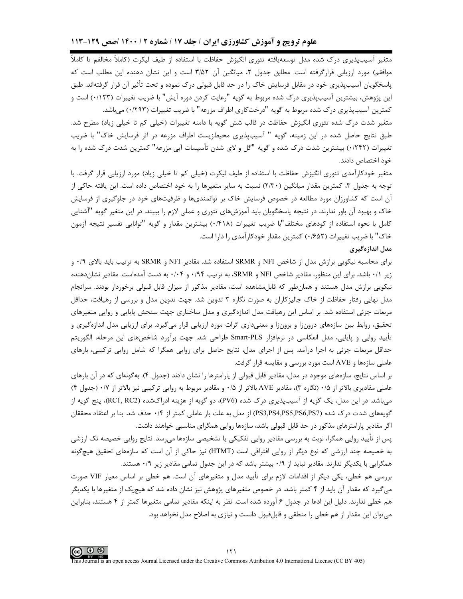متغیر آسیبپذیری درک شده مدل توسعهیافته تئوری انگیزش حفاظت با استفاده از طیف لیکرت (کاملاً مخالفم تا کاملاً موافقم) مورد ارزیابی قرارگرفته است. مطابق جدول ۲، میانگین آن ۳/۵۲ است و این نشان دهنده این مطلب است که یاسخگویان آسیبیذیری خود در مقابل فرسایش خاک را در حد قابل قبولی درک نموده و تحت تأثیر آن قرار گرفتهاند. طبق این پژوهش، بیشترین آسیبپذیری درک شده مربوط به گویه "رعایت کردن دوره آیش" با ضریب تغییرات (۱۲۳۰) است و کمترین آسیبپذیری درک شده مربوط به گویه "درختکاری اطراف مزرعه" با ضریب تغییرات (۱۲۹۳۰) می باشد.

متغیر شدت درک شده تئوری انگیزش حفاظت در قالب شش گویه با دامنه تغییرات (خیلی کم تا خیلی زیاد) مطرح شد. طبق نتایج حاصل شده در این زمینه، گویه " آسیبپذیری محیطزیست اطراف مزرعه در اثر فرسایش خاک" با ضریب تغییرات (۲۴۲/۰) بیشترین شدت درک شده و گویه "گل و لای شدن تأسیسات آبی مزرعه" کمترین شدت درک شده را به خود اختصاص دادند.

متغیر خودکارآمدی تئوری انگیزش حفاظت با استفاده از طیف لیکرت (خیلی کم تا خیلی زیاد) مورد ارزیابی قرار گرفت. با توجه به جدول ۳، کمترین مقدار میانگین (۲/۳۰) نسبت به سایر متغیرها را به خود اختصاص داده است. این یافته حاکی از آن است که کشاورزان مورد مطالعه در خصوص فرسایش خاک بر توانمندیها و ظرفیتهای خود در جلوگیری از فرسایش خاک و بهبود آن باور ندارند. در نتیجه پاسخگویان باید آموزشهای تئوری و عملی لازم را ببیند. در این متغیر گویه "آشنایی کامل با نحوه استفاده از کودهای مختلف"با ضریب تغییرات (۰/۴۱۸) بیشترین مقدار و گویه "توانایی تفسیر نتیجه آزمون خاک" با ضریب تغییرات (۱۶۵۲) کمترین مقدار خودکارآمدی را دارا است.

#### مدل اندازهگیری

برای محاسبه نیکویی برازش مدل از شاخص NFI و SRMR استفاده شد. مقادیر NFI و SRMR به ترتیب باید بالای ۰/۹ و زیر ۰/۱ باشد. برای این منظور، مقادیر شاخص NFI و SRMR، به ترتیب ۰/۹۴ و ۰/۰۴ به دست آمدهاست. مقادیر نشاندهنده نیکویی برازش مدل هستند و همانطور که قابل مشاهده است، مقادیر مذکور از میزان قابل قبولی برخوردار بودند. سرانجام مدل نهایی رفتار حفاظت از خاک جالیزکاران به صورت نگاره ۳ تدوین شد. جهت تدوین مدل و بررسی از رهیافت، حداقل مربعات جزئی استفاده شد. بر اساس این رهیافت مدل اندازهگیری و مدل ساختاری جهت سنجش پایایی و روایی متغیرهای تحقیق، روابط بین سازههای درون;ا و برون;ا و معنے داری اثرات مورد ارزیابی قرار می گیرد. برای ارزیابی مدل اندازهگیری و تأييد روايي و پايايي، مدل انعكاسي در نرمافزار Smart-PLS طراحي شد. جهت برآورد شاخصهاي اين مرحله، الگوريتم حداقل مربعات جزئی به اجرا درآمد. پس از اجرای مدل، نتایج حاصل برای روایی همگرا که شامل روایی ترکیبی، بارهای عاملی سازهها و AVE است مورد بررسی و مقایسه قرار گرفت.

بر اساس نتایج، سازههای موجود در مدل، مقادیر قابل قبولی از پارامترها را نشان دادند (جدول ۴). بهگونهای که در آن بارهای عاملی مقادیری بالاتر از ۰/۵ (نگاره ۳)، مقادیر AVE بالاتر از ۰/۵ و مقادیر مربوط به روایی ترکیبی نیز بالاتر از ۰/۷ (جدول ۴) می,باشد. در این مدل، یک گویه از آسیبپذیری درک شده (PV6)، دو گویه از هزینه ادراکشده (RC1, RC2)، پنج گویه از گویههای شدت درک شده (PS3,PS4,PS5,PS6,PS7) از مدل به علت بار عاملی کمتر از ۰/۴ حذف شد. بنا بر اعتقاد محققان اگر مقادیر پارامترهای مذکور در حد قابل قبولی باشد، سازهها روایی همگرای مناسبی خواهند داشت.

پس از تأیید روایی همگرا، نوبت به بررسی مقادیر روایی تفکیکی یا تشخیصی سازهها میرسد. نتایج روایی خصیصه تک ارزشی به خصیصه چند ارزشی که نوع دیگر از روایی افتراقی است (HTMT) نیز حاکی از آن است که سازههای تحقیق هیچگونه همگرایی با یکدیگر ندارند. مقادیر نباید از ۰/۹ بیشتر باشد که در این جدول تمامی مقادیر زیر ۰/۹ هستند.

بررسی هم خطی، یکی دیگر از اقدامات لازم برای تأیید مدل و متغیرهای آن است. هم خطی بر اساس معیار VIF صورت میگیرد که مقدار آن باید از ۴ کمتر باشد. در خصوص متغیرهای پژوهش نیز نشان داده شد که هیچیک از متغیرها با یکدیگر هم خطی ندارند. دلیل این ادعا در جدول ۶ آورده شده است. نظر به اینکه مقادیر تمامی متغیرها کمتر از ۴ هستند، بنابراین میتوان این مقدار از هم خطی را منطقی و قابلقبول دانست و نیازی به اصلاح مدل نخواهد بود.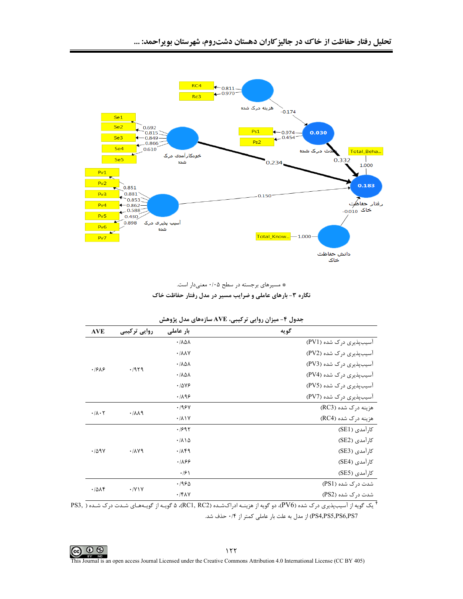

\* مسیرهای برجسته در سطح ۰/۰۵ معنیدار است. نگاره ۳- بارهای عاملی و ضرایب مسیر در مدل رفتار حفاظت خاک

|              |                                        | <sub>"</sub> ر ب رہی رسی ب<br>-- |
|--------------|----------------------------------------|----------------------------------|
| روایی ترکیبی | بار عاملی                              | گويه                             |
|              | $\cdot$ / $\lambda$ $\Delta$ $\lambda$ | آسیبپذیری درک شده (PV1)          |
|              | $\cdot$ / $\lambda\lambda$ Y           | آسیبپذیری درک شده (PV2)          |
|              | $\cdot$ / $\lambda$ $\Delta$ $\lambda$ | آسیبپذیری درک شده (PV3)          |
|              | $\cdot$ / $\lambda$ $\Delta$ $\lambda$ | آسیبپذیری درک شده (PV4)          |
|              | .7899                                  | آسیبپذیری درک شده (PV5)          |
|              | .7199                                  | آسیبپذیری درک شده (PV7)          |
|              | .198Y                                  | هزینه درک شده (RC3)              |
|              | $\cdot/\lambda$ \ Y                    | هزینه درک شده (RC4)              |
|              | .1991                                  | کارآمدی (SE1)                    |
|              | $\cdot/\lambda$ \ $\Delta$             | کارآمدی (SE2)                    |
| .714         | .719                                   | كارآمدى (SE3)                    |
|              | .789                                   | کا, آمدی (SE4)                   |
|              | $\cdot$ /۶ \                           | كارآمدى (SE5)                    |
|              | ۱۹۶۵.                                  | شدت درک شده (PS1)                |
|              | $\cdot$ /۴۸۷                           | شدت د <sub>ر</sub> ک شده (PS2)   |
|              | .7979<br>.711<br>$\cdot$ /Y \ Y        |                                  |

| جدول ۴- میزان روایی ترکیبی، AVE سازههای مدل پژوهش |  |  |
|---------------------------------------------------|--|--|
|---------------------------------------------------|--|--|

 $^{\dagger}$ یک گویه از آسیبپذیری درک شده (PV6)، دو گویه از هزینــه ادراکشـده (RC1, RC2)، ۵ گویــه از گویــههـای شـدت درک شـده ( ,PS3 pS4,PS5,PS6,PS7) از مدل به علت بار عاملی کمتر از ۰/۴ حذف شد.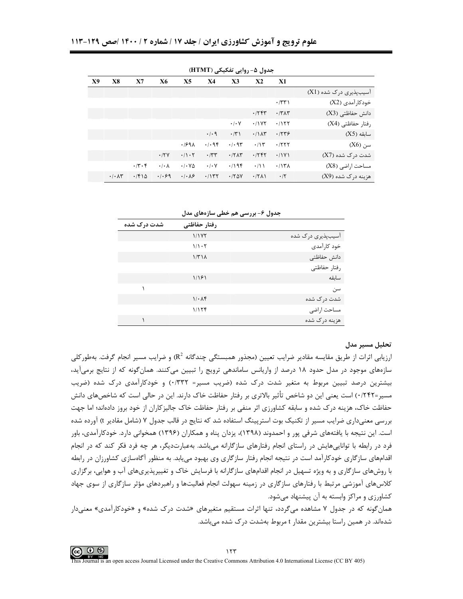| X9 | <b>X8</b>                             | X7    | <b>X6</b>            | X <sub>5</sub>                     | <b>X4</b>           | X3                  | X <sub>2</sub>       | X1              |                               |
|----|---------------------------------------|-------|----------------------|------------------------------------|---------------------|---------------------|----------------------|-----------------|-------------------------------|
|    |                                       |       |                      |                                    |                     |                     |                      |                 | آسیبپذیری درک شده (X1)        |
|    |                                       |       |                      |                                    |                     |                     |                      | $\cdot$ /٣٣ $)$ | خودکارآمدی (X2)               |
|    |                                       |       |                      |                                    |                     |                     | $\cdot$ /۲۴۳         | $\cdot$ /۳۸۳    | دانش حفاظتی (X3)              |
|    |                                       |       |                      |                                    |                     | $\cdot$ / $\cdot$ Y | .11Y                 | $\cdot$ /۱۲۲    | رفتار حفاظتی (X4)             |
|    |                                       |       |                      |                                    | $\cdot$ / $\cdot$ 9 | $\cdot$ /٣١         | $\cdot$ / $\wedge$ ۳ | .7779           | $(X5)$ سابقه                  |
|    |                                       |       |                      | .1991                              | .1.98               | .497                | .77                  | .755            | $(X6)$ سن                     |
|    |                                       |       | .77V                 | $\cdot/\cdot 7$                    | $\cdot$ /٣٣         | .77AT               | .755                 | .71Y1           | شدت د <sub>ر</sub> ک شده (X7) |
|    |                                       | .77.5 | $\cdot/\cdot \wedge$ | $\cdot$ / $\cdot$ Y $\Delta$       | $\cdot/\cdot$ Y     | .798                | $\cdot/11$           | $.117\lambda$   | مساحت اراضي (X8)              |
|    | $\cdot$ / $\cdot$ $\wedge$ $\uparrow$ | .7810 | .1.99                | $\cdot$ / $\cdot$ $\wedge$ $\circ$ | .7157               | .780                | .7711                | $\cdot$ /٢      | هزینه درک شده (X9)            |

جدول ۶– بررسے هم خطے سازہھای مدل

| شدت درک شده | رفتار حفاظتي  |                   |
|-------------|---------------|-------------------|
|             | 1/177         | اسیبپذیری درک شده |
|             | 1/1.7         | خود کارآمدی       |
|             | $1/T1\Lambda$ | دانش حفاظتى       |
|             |               | , فتا, حفاظتے ِ   |
|             | 1/191         | سائقه             |
|             |               | سن                |
|             | 1/4           | شدت درک شده       |
|             | 1/156         | مساحت اراضى       |
|             |               | هزینه در ک شده    |

## تحليل مسير مدل

ارزیابی اثرات از طریق مقایسه مقادیر ضرایب تعیین (مجذور همبستگی چندگانه R<sup>2</sup>) و ضرایب مسیر انجام گرفت. بهطور کلی سازههای موجود در مدل حدود ۱۸ درصد از واریانس ساماندهی ترویج را تبیین میکنند. همانگونه که از نتایج برمیآید، بیشترین درصد تبیین مربوط به متغیر شدت درک شده (ضریب مسیر= ۰/۳۳۲) و خودکارآمدی درک شده (ضریب مسیر=۰/۲۴۲) است یعنی این دو شاخص تأثیر بالاتری بر رفتار حفاظت خاک دارند. این در حالی است که شاخصهای دانش حفاظت خاک، هزینه درک شده و سابقه کشاورزی اثر منفی بر رفتار حفاظت خاک جالیزکاران از خود بروز دادهاند؛ اما جهت بررسی معنیداری ضرایب مسیر از تکنیک بوت استرپینگ استفاده شد که نتایج در قالب جدول ۷ (شامل مقادیر t) آورده شده است. این نتیجه با یافتههای شرفی پور و احمدوند (۱۳۹۸)، یزدان پناه و همکاران (۱۳۹۶) همخوانی دارد. خودکارآمدی، باور فرد در رابطه با تواناییهایش در راستای انجام رفتارهای سازگارانه می باشد. بهعبارتدیگر، هر چه فرد فکر کند که در انجام اقدامهای سازگاری خودکارآمد است در نتیجه انجام رفتار سازگاری وی بهبود می بابد. به منظور آگاهسازی کشاورزان در رابطه با روشهای سازگاری و به ویژه تسهیل در انجام اقدامهای سازگارانه با فرسایش خاک و تغییرپذیریهای آب و هوایی، برگزاری کلاسهای آموزشی مرتبط با رفتارهای سازگاری در زمینه سهولت انجام فعالیتها و راهبردهای مؤثر سازگاری از سوی جهاد کشاورزی و مراکز وابسته به آن پیشنهاد می شود.

همانگونه که در جدول ۷ مشاهده میگردد، تنها اثرات مستقیم متغیرهای «شدت درک شده» و «خودکارآمدی» معنیدار شدهاند. در همین راستا بیشترین مقدار t مربوط بهشدت درک شده میباشد.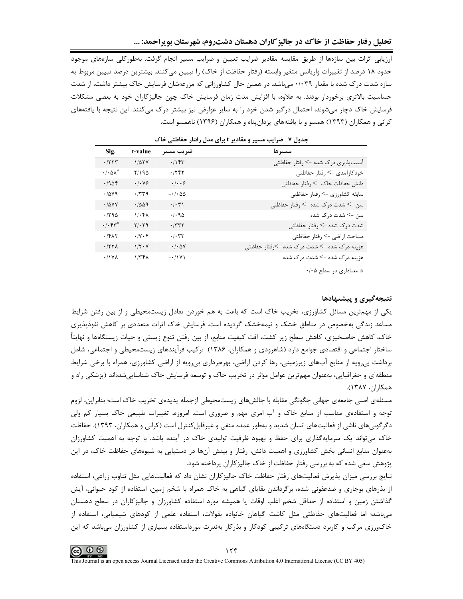ارزیابی اثرات بین سازمها از طریق مقایسه مقادیر ضرایب تعیین و ضرایب مسیر انجام گرفت. بهطورکلی سازمهای موجود حدود ۱۸ درصد از تغییرات واریانس متغیر وابسته (رفتار حفاظت از خاک) را تبیین میکنند. بیشترین درصد تبیین مربوط به سازه شدت درک شده با مقدار ۰/۰۳۹ میباشد. در همین حال کشاورزانی که مزرعهشان فرسایش خاک بیشتر داشت، از شدت حساسیت بالاتری برخوردار بودند. به علاوه، با افزایش مدت زمان فرسایش خاک چون جالیزکاران خود به بعضی مشکلات فرسایش خاک دچار میشوند، احتمال درگیر شدن خود را به سایر عوارض نیز بیشتر درک میکنند. این نتیجه با یافتههای کرانی و همکاران (۱۳۹۳) همسو و با یافتههای یزدانپناه و همکاران (۱۳۹۶) ناهمسو است.

| مسير ها                                                                                                                                                                                                                          | ضريب مسير                              | t-value                     | Sig.                                 |
|----------------------------------------------------------------------------------------------------------------------------------------------------------------------------------------------------------------------------------|----------------------------------------|-----------------------------|--------------------------------------|
| أسيبپذيري درک شده -> رفتار حفاظتي                                                                                                                                                                                                | .7157                                  | $1/\Delta$ TY               | .7777                                |
| خودکارآمدی -> رفتار حفاظتي                                                                                                                                                                                                       | .755                                   | Y/190                       | $\cdot$ / $\cdot$ $\Delta \Lambda^*$ |
| دانش حفاظت خاک -> رفتار حفاظتي                                                                                                                                                                                                   | $- \cdot \mid \cdot \cdot \mathcal{S}$ | $\cdot$ / $\cdot$ YF        | .7904                                |
| سابقه كشاورزي -> رفتار حفاظتي                                                                                                                                                                                                    | $-1.00$                                | .779                        | .7049                                |
| سن -> شدت درک شده -> رفتار حفاظتي                                                                                                                                                                                                | $\cdot/\cdot\tau$                      | .7009                       | .70YY                                |
| سن -> شدت درک شده                                                                                                                                                                                                                | $\cdot/\cdot$ 94                       | $1/\cdot$ $f\Lambda$        | .790                                 |
| شدت درک شده -> رفتار حفاظتی                                                                                                                                                                                                      | .7777                                  | $Y/\cdot Y9$                | $\cdot/\cdot$ fr*                    |
| مساحت اراضي -> رفتار حفاظتي                                                                                                                                                                                                      | $\cdot/\cdot$ ٣٣                       | $\cdot/\gamma \cdot f$      | .751                                 |
| هزینه درک شده -> شدت درک شده ->رفتار حفاظتی                                                                                                                                                                                      | $- \cdot / \cdot \Delta V$             | $1/\Upsilon \cdot \Upsilon$ | .777                                 |
| هزینه درک شده -> شدت درک شده                                                                                                                                                                                                     | $-1$                                   | 1/۳۴۸                       | .11YA                                |
| $\mathbf{r}$ , and the set of the set of the set of the set of the set of the set of the set of the set of the set of the set of the set of the set of the set of the set of the set of the set of the set of the set of the set |                                        |                             |                                      |

جدول ۷- ضرایب مسیر و مقادیر t برای مدل رفتار حفاظتی خاک

\* معناداری در سطح ۰/۰۵

### نتیجهگیری و پیشنهادها

یکی از مهمترین مسائل کشاورزی، تخریب خاک است که باعث به هم خوردن تعادل زیستمحیطی و از بین رفتن شرایط مساعد زندگی بهخصوص در مناطق خشک و نیمهخشک گردیده است. فرسایش خاک اثرات متعددی بر کاهش نفوذپذیری خاک، کاهش حاصلخیزی، کاهش سطح زیر کشت، افت کیفیت منابع، از بین رفتن تنوع زیستی و حیات زیستگاهها و نهایتاً ساختار اجتماعی و اقتصادی جوامع دارد (شاهرودی و همکاران، ۱۳۸۶). ترکیب فرآیندهای زیستمحیطی و اجتماعی، شامل برداشت بی رویه از منابع آبهای زیرزمینی، رها کردن اراضی، بهرهبرداری بی رویه از اراضی کشاورزی، همراه با برخی شرایط منطقهای و جغرافیایی، بهعنوان مهم ترین عوامل مؤثر در تخریب خاک و توسعه فرسایش خاک شناساییشدهاند (پزشکی راد و همكاران، ١٣٨٧).

مسئلهی اصلی جامعهی جهانی چگونگی مقابله با چالش های زیستمحیطی ازجمله پدیدهی تخریب خاک است؛ بنابراین، لزوم توجه و استفادهی مناسب از منابع خاک و آب امری مهم و ضروری است. امروزه، تغییرات طبیعی خاک بسیار کم ولی دگرگونیهای ناشی از فعالیتهای انسان شدید و بهطور عمده منفی و غیرقابل کنترل است (کرانی و همکاران، ۱۳۹۳). حفاظت خاک می تواند یک سرمایهگذاری برای حفظ و بهبود ظرفیت تولیدی خاک در آینده باشد. با توجه به اهمیت کشاورزان بهعنوان منابع انسانی بخش کشاورزی و اهمیت دانش، رفتار و بینش آنها در دستیابی به شیوههای حفاظت خاک، در این پژوهش سعی شده که به بررسی رفتار حفاظت از خاک جالیز کاران پرداخته شود.

نتایج بررسی میزان پذیرش فعالیتهای رفتار حفاظت خاک جالیزکاران نشان داد که فعالیتهایی مثل تناوب زراعی، استفاده از بذرهای بوجاری و ضدعفونی شده، برگرداندن بقایای گیاهی به خاک همراه با شخم زمین، استفاده از کود حیوانی، آیش گذاشتن زمین و استفاده از حداقل شخم اغلب اوقات یا همیشه مورد استفاده کشاورزان و جالیزکاران در سطح دهستان میباشد؛ اما فعالیتهای حفاظتی مثل کاشت گیاهان خانواده بقولات، استفاده علمی از کودهای شیمیایی، استفاده از خاکورزی مرکب و کاربرد دستگاههای ترکیبی کودکار و بذرکار بهندرت مورداستفاده بسیاری از کشاورزان میباشد که این

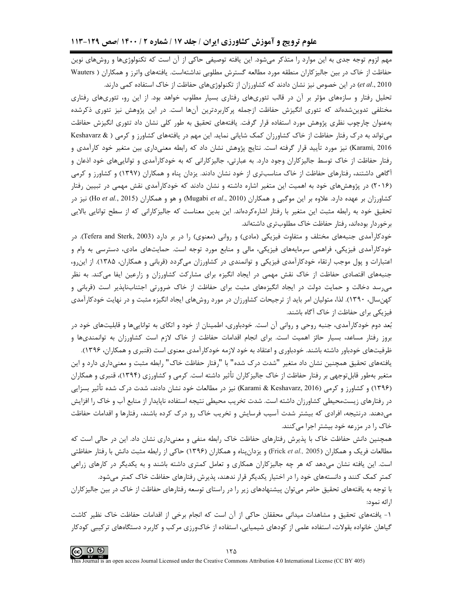مهم لزوم توجه جدی به این موارد را متذکر میشود. این یافته توصیفی حاکی از آن است که تکنولوژیها و روشهای نوین حفاظت از خاک در بین جالیزکاران منطقه مورد مطالعه گسترش مطلوبی نداشتهاست. یافتههای واترز و همکاران ( Wauters et al., 2010) در این خصوص نیز نشان دادند که کشاورزان از تکنولوژیهای حفاظت از خاک استفاده کمی دارند.

تحلیل رفتار و سازههای مؤثر بر آن در قالب تئوریهای رفتاری بسیار مطلوب خواهد بود. از این رو، تئوریهای رفتاری مختلفی تدوینشدهاند که تئوری انگیزش حفاظت ازجمله پرکاربردترین آنها است. در این پژوهش نیز تئوری ذکرشده بهعنوان چارچوب نظری پژوهش مورد استفاده قرار گرفت. یافتههای تحقیق به طور کلی نشان داد تئوری انگیزش حفاظت می تواند به درک رفتار حفاظت از خاک کشاورزان کمک شایانی نماید. این مهم در یافتههای کشاورز و کرمی ( & Keshavarz Karami, 2016) نیز مورد تأیید قرار گرفته است. نتایج پژوهش نشان داد که رابطه معنیداری بین متغیر خود کارآمدی و رفتار حفاظت از خاک توسط جالیزکاران وجود دارد. به عبارتی، جالیزکارانی که به خودکارآمدی و تواناییهای خود اذعان و آگاهی داشتند، رفتارهای حفاظت از خاک مناسبتری از خود نشان دادند. یزدان پناه و همکاران (۱۳۹۷) و کشاورز و کرمی (۲۰۱۶) در پژوهشهای خود به اهمیت این متغیر اشاره داشته و نشان دادند که خودکارآمدی نقش مهمی در تبیین رفتار کشاورزان بر عهده دارد. علاوه بر این موگبی و همکاران (Mugabi *et al.*, 2010) و هو و همکاران (Ho *et al.*, 2015) نیز در تحقیق خود به رابطه مثبت این متغیر با رفتار اشارهکردهاند. این بدین معناست که جالیزکارانی که از سطح توانایی بالایی برخوردار بودهاند، رفتار حفاظت خاک مطلوبتری داشتهاند.

خودکارآمدی جنبههای مختلف و متفاوت فیزیکی (مادی) و روانی (معنوی) را در بر دارد (Tefera and Sterk, 2003). در خودکارآمدی فیزیکی، فراهمی سرمایههای فیزیکی، مالی و منابع مورد توجه است. حمایتهای مادی، دسترسی به وام و اعتبارات و پول موجب ارتقاء خودکارآمدی فیزیکی و توانمندی در کشاورزان میگردد (قربانی و همکاران، ۱۳۸۵). از این رو، جنبههای اقتصادی حفاظت از خاک نقش مهمی در ایجاد انگیزه برای مشارکت کشاورزان و زارعین ایفا میکند. به نظر می سد دخالت و حمایت دولت در ایجاد انگیزههای مثبت برای حفاظت از خاک ضرورتی اجتنابiاپذیر است (قربانی و کهن سال، ۱۳۹۰). لذا، متولیان امر باید از ترجیحات کشاورزان در مورد روشهای ایجاد انگیزه مثبت و در نهایت خودکارآمدی فیزیکی برای حفاظت از خاک آگاه باشند.

بُعد دوم خودکارآمدی، جنبه روحی و روانی آن است. خودباوری، اطمینان از خود و اتکای به تواناییها و قابلیتهای خود در بروز رفتار مساعد، بسیار حائز اهمیت است. برای انجام اقدامات حفاظت از خاک لازم است کشاورزان به توانمندیها و ظرفیتهای خودباور داشته باشند. خودباوری و اعتقاد به خود لازمه خودکار آمدی معنوی است (قنبری و همکاران، ۱۳۹۶).

یافتههای تحقیق همچنین نشان داد متغیر "شدت درک شده" با "رفتار حفاظت خاک" رابطه مثبت و معنیداری دارد و این متغیر بهطور قابلتوجهی بر رفتار حفاظت از خاک جالیزکاران تأثیر داشته است. کرمی و کشاورزی (۱۳۹۴)، قنبری و همکاران (۱۳۹۶) و کشاورز و کرمی (Karami & Keshavarz, 2016) نیز در مطالعات خود نشان دادند، شدت درک شده تأثیر بسزایی در رفتارهای زیستمحیطی کشاورزان داشته است. شدت تخریب محیطی نتیجه استفاده ناپایدار از منابع آب و خاک را افزایش میدهند. درنتیجه، افرادی که بیشتر شدت آسیب فرسایش و تخریب خاک رو درک کرده باشند، رفتارها و اقدامات حفاظت خاک را در مزرعه خود بیشتر اجرا میکنند.

همچنین دانش حفاظت خاک با پذیرش رفتارهای حفاظت خاک رابطه منفی و معنیداری نشان داد. این در حالی است که مطالعات فریک و همکاران (Frick *et al.,* 2005) و یزدانپناه و همکاران (۱۳۹۶) حاکی از رابطه مثبت دانش با رفتار حفاظتی است. این یافته نشان میدهد که هر چه جالیزکاران همکاری و تعامل کمتری داشته باشند و به یکدیگر در کارهای زراعی کمتر کمک کنند و دانستههای خود را در اختیار یکدیگر قرار ندهند، پذیرش رفتارهای حفاظت خاک کمتر می شود.

با توجه به یافتههای تحقیق حاضر می¤وان پیشنهادهای زیر را در راستای توسعه رفتارهای حفاظت از خاک در بین جالیزکاران ارائه نمود:

۱- یافتههای تحقیق و مشاهدات میدانی محققان حاکی از آن است که انجام برخی از اقدامات حفاظت خاک نظیر کاشت گیاهان خانواده بقولات، استفاده علمی از کودهای شیمیایی، استفاده از خاکورزی مرکب و کاربرد دستگاههای ترکیبی کودکار

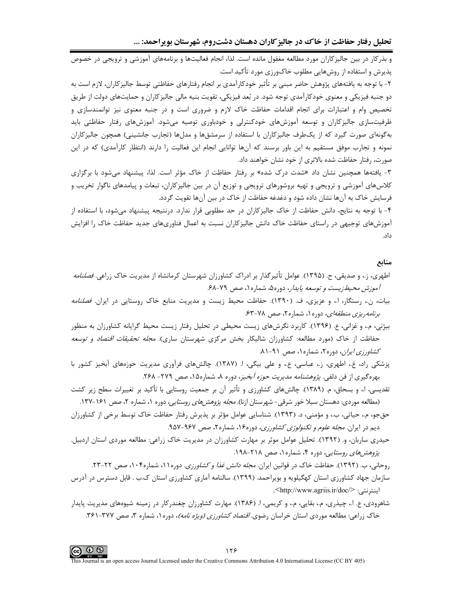تحلیل رفتار حفاظت از خاک در جالیز کاران دهستان دشتروم، شهرستان بویراحمد: ...

و بذرکار در بین جالیزکاران مورد مطالعه مغفول مانده است. لذا، انجام فعالیتها و برنامههای آموزشی و ترویجی در خصوص پذیرش و استفاده از روشهایی مطلوب خاکورزی مورد تأکید است.

۲- با توجه به یافتههای پژوهش حاضر مبنی بر تأثیر خودکارآمدی بر انجام رفتارهای حفاظتی توسط جالیز کاران، لازم است به دو جنبه فیزیکی و معنوی خودکارآمدی توجه شود. در بُعد فیزیکی، تقویت بنیه مالی جالیز کاران و حمایتهای دولت از طریق تخصیص وام و اعتبارات برای انجام اقدامات حفاظت خاک لازم و ضروری است و در جنبه معنوی نیز توانمندسازی و ظرفیتسازی جالیزکاران و توسعه آموزشهای خودکنترلی و خودباوری توصیه میشود. آموزشهای رفتار حفاظتی باید بهگونهای صورت گیرد که از یکطرف جالیزکاران با استفاده از سرمشقها و مدلها (تجارب جانشینی) همچون جالیزکاران نمونه و تجارب موفق مستقیم به این باور برسند که آنها توانایی انجام این فعالیت را دارند (انتظار کارآمدی) که در این صورت، رفتار حفاظت شده بالاترى از خود نشان خواهند داد.

۳- یافتهها همچنین نشان داد «شدت درک شده» بر رفتار حفاظت از خاک مؤثر است. لذا، پیشنهاد می شود با برگزاری کلاسهای آموزشی و ترویجی و تهیه بروشورهای ترویجی و توزیع آن در بین جالیزکاران، تبعات و پیامدهای ناگوار تخریب و فرسایش خاک به آنها نشان داده شود و دغدغه حفاظت از خاک در بین آنها تقویت گردد.

۴- با توجه به نتایج، دانش حفاظت از خاک جالیزکاران در حد مطلوبی قرار ندارد. درنتیجه پیشنهاد میشود، با استفاده از آموزشهای توجیهی در راستای حفاظت خاک دانش جالیزکاران نسبت به اعمال فناوریهای جدید حفاظت خاک را افزایش داد.

# منابع

- اطهری، ز.، و صدیقی، ح. (۱۳۹۵). عوامل تأثیرگذار بر ادراک کشاورزان شهرستان کرمانشاه از مدیریت خاک زراعی. *فصلنامه* آموزش محیطزیست و توسعه پایدار، دوره۵، شماره ۱، صص ۷۹-۶۸.
- بیات، ن.، رستگار، ا.، و عزیزی، ف. (۱۳۹۰). حفاظت محیط زیست و مدیریت منابع خاک روستایی در ایران. *فصلنامه* برنامه ریزی منطقهای، دوره ۱، شماره ۲، صص ۷۸-۶۳.
- بیژنی، م.، و غزانی، ع. (۱۳۹۶). کاربرد نگرشهای زیست محیطی در تحلیل رفتار زیست محیط گرایانه کشاورزان به منظور حفاظت از خاک (مورد مطالعه: کشاورزان شالیکار بخش مرکزی شهرستان ساری). *مجله تحقیقات اقتصاد و توسعه* کشاورزی /یران، دوره ۲، شماره ۰، صص ۹۱-۸۱.
- پزشکی راد، غ.، اطهری، ز.، عباسی، ع.، و علی بیگی، ا. (۱۳۸۷). چالشهای فرآوری مدیریت حوزههای آبخیز کشور با بهره گیری از فن دلفی. *پژوهشنامه مدیریت حوزه آبخیز*، دوره ۸، شماره۱۵، صص ۲۷۹- ۲۶۸.
- تقدیسی، ا.، و بسحاق، م. (۱۳۸۹). چالشهای کشاورزی و تأثیر آن بر جمعیت روستایی با تأکید بر تغییرات سطح زیر کشت (مطالعه موردي: دهستان سيلا خور شرقي- شهرستان ازنا). *مجله پژوهشهاي روستايي*، دوره ١، شماره ٢، صص ١٤١-١٣٧.
- حقجو، م.، حیاتی، ب.، و مؤمنی، د. (۱۳۹۳). شناسایی عوامل مؤثر بر پذیرش رفتار حفاظت خاک توسط برخی از کشاورزان دیم در ایران. *مجله علوم و تکنولوژی کشاورزی*، دوره۱۶، شماره۲، صص ۹۶۷-۹۵۷.
- حیدری ساربان، و. (۱۳۹۲). تحلیل عوامل موثر بر مهارت کشاورزان در مدیریت خاک زراعی: مطالعه موردی استان اردبیل. *پژوهش های روستایی،* دوره ۴، شماره ۱، صص ۲۱۸-۱۹۸.
	- روحانی، ب. (۱۳۹۲). حفاظت خاک در قوانین ایران. *مجله دانش غذا و کشاورزی*. دوره۱۱، شماره۰۰۴، صص ۲۲-۲۳.
- سازمان جهاد کشاورزی استان کهگیلویه و بویراحمد. (۱۳۹۹). سالنامه آماری کشاورزی استان ک.ب . قابل دسترس در آدرس اينترنتي: </http://www.agriis.ir/doc/
- شاهرودی، ع. ا.، چیذری، م.، بقایی، م.، و کریمی، ا. (۱۳۸۶). مهارت کشاورزان چغندرکار در زمینه شیوههای مدیریت پایدار خاک زراعی: مطالعه موردی استان خراسان رضو*ی. اقتصاد کشاورزی (ویژه نامه)*، دوره ۱، شماره ۳، صص ۳۷۷-۳۶۱.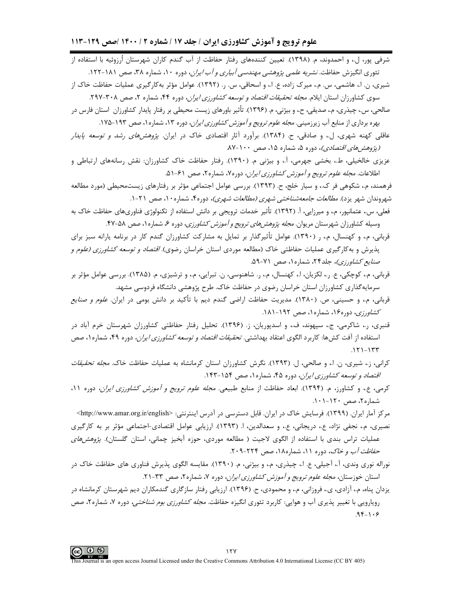علوم ترویج و آموزش کشاورزی ایران / جلد ۱۷ / شماره ۲ / ۱۴۰۰ /صص ۱۲۹-۱۱۳

- شرفی پور، ل.، و احمدوند، م. (۱۳۹۸). تعیین کنندههای رفتار حفاظت از آب گندم کاران شهرستان اُرزوئیه با استفاده از تئوري انگيزش حفاظت. *نشريه علمي پژوهشي مهندسي آبياري و آب ايران*، دوره ۱۰، شماره ۳۸، صص ۱۸۱-۱۲۲.
- شیری، ن. ا.، هاشمی، س. م.، میرک زاده، ع. ا.، و اسحاقی، س. ر. (۱۳۹۲). عوامل مؤثر بهکارگیری عملیات حفاظت خاک از سوی کشاورزان استان ایلام*. مجله تحقیقات اقتصاد و توسعه کشاورزی ایران*، دوره ۴۴، شماره ۲، صص ۳۰۸-۲۹۷.
- صالحی، س.، چیذری، م.، صدیقی، ح.، و بیژنی، م. (۱۳۹۶). تأثیر باورهای زیست محیطی بر رفتار پایدار کشاورزان استان فارس در بهره برداری از منابع آب زیرزمینی. *مجله علوم ترویج و آموزش کشاورزی ایران*، دوره ۱۳، شماره ۱، صص ۱۹۳–۱۷۵.
- عاقلبي کهنه شهري، ل.، و صادقي، ح. (۱۳۸۴). برآورد آثار اقتصادي خاک در ايران*. پژوهش هاي رشد و توسعه يايدار* (پژوهشهای اقتصادی)، دوره ۵، شماره ۱۵، صص ۱۰۰-۸۷.
- عزيزي خالخيلي، ط.، بخشي جهرمي، آ.، و بيژني م. (١٣٩٠). رفتار حفاظت خاک کشاورزان: نقش رسانههاي ارتباطي و اطلاعات. *مجله علوم ترويج و آموزش كشاورزي ايران*، دوره۷، شماره۲، صص ۶۱-۵۱.

فرهمند، م.، شکوهی فر ک.، و سیار خلج، ح. (۱۳۹۳). بررسی عوامل اجتماعی مؤثر بر رفتارهای زیستمحیطی (مورد مطالعه شهروندان شهر یزد). *مطالعات جامعهشناختی شهری (مطالعات شهری)،* دوره۴، شماره۱۰، صص ۲۱-۱.

- فعلی، س.، عثمانپور، م.، و میرزایی، آ. (۱۳۹۲). تأثیر خدمات ترویجی بر دانش استفاده از تکنولوژی فناوریهای حفاظت خاک به وسیله کشاورزان شهرستان مریوان. *مجله پژوهشهای ترویج و آموزش کشاورزی*، دوره ۶، شماره ۱، صص ۵۸-۴۷.
- قربانی، م.، و کهنسال، م.، ر (۱۳۹۰). عوامل تأثیرگذار بر تمایل به مشارکت کشاورزان گندم کار در برنامه پارانه سبز برای پذیرش و به کارگیری عملیات حفاظتی خاک (مطالعه موردی استان خراسان رضوی). *اقتصاد و توسعه کشاورزی (علوم و* صنایع کشاورزی)، جلد۲۴، شماره ۱، صص ۷۱-۵۹.
- قربانی، م.، کوچکی، ع. ر.، لکزیان، ا.، کهنسال، م.، ر. شاهنوسی، ن. تبرایی، م.، و ترشیزی، م. (۱۳۸۵). بررسی عوامل مؤثر بر سرمایهگذاری کشاورزان استان خراسان رضوی در حفاظت خاک. طرح پژوهشی دانشگاه فردوسی مشهد.
- قربانی، م.، و حسینی، ص. (۱۳۸۰). مدیریت حفاظت اراضی گندم دیم با تأکید بر دانش بومی در ایران. *علوم و صنایع* كشاورزي، دوره۱۶، شماره۱، صص ۱۹۲-۱۸۱.
- قنبری، ر.، شاکرمی، ج.، سپهوند، ف.، و اسدپوریان، ز. (۱۳۹۶). تحلیل رفتار حفاظتی کشاورزان شهرستان خرم آباد در استفاده از آفت کشها: کاربرد الگوی اعتقاد بهداشتی. *تحقیقات اقتصاد و توسعه کشاورزی ایران،* دوره ۴۹، شماره۱، صص  $.151 - 155$
- کرانی، ز.، شیری، ن. ا.، و صالحی، ل. (۱۳۹۳). نگرش کشاورزان استان کرمانشاه به عملیات حفاظت خاک. *مجله تحقیقات* اقتصاد و توسعه کشاورزی ایران، دوره ۴۵، شماره ۱، صص ۱۵۴-۱۴۳.
- کرمی، ع.، و کشاورز، م. (۱۳۹۴). ابعاد حفاظت از منابع طبیعی. *مجله علوم ترویج و آموزش کشاورزی ایران*، دوره ۱۱، شماره ۲، صص ۱۲۰–۱۰۱.
	- مرکز آمار ایران. (۱۳۹۹). فرسایش خاک در ایران. قابل دسترسی در آدرس اینترنتی: <http://www.amar.org.ir/english>
- نصیری، م.، نجفی نژاد، ع.، دریجانی، ع.، و سعدالدین، ا. (۱۳۹۳). ارزیابی عوامل اقتصادی-اجتماعی مؤثر بر به کارگیری عملیات تراس بندی با استفاده از الگوی لاجیت ( مطالعه موردی، حوزه آبخیز چمانی، استان گلستان). *پژوهشهای* حفاظت آب و خاک، دوره ۱۱، شماره۱۸، صص ۲۲۴-۲۰۹.
- نوراله نوري وندي، آ.، آجيلي، ع. ا.، چيذري، م.، و بيژني، م. (١٣٩٠). مقايسه الگوي پذيرش فناوري هاي حفاظت خاک در استان خوزستان*، مجله علوم ترويج و آموزش كشاورزي ايران*، دوره ۷، شماره ۲، صص ۳۳-۲۱.
- یزدان پناه، م.، آزادی، ی.، فروزانی، م.، و محمودی، ح. (۱۳۹۶). ارزیابی رفتار سازگاری گندمکاران دیم شهرستان کرمانشاه در رویارویی با تغییر پذیری آب و هوایی: کاربرد تئوری انگیزه حفاظت. *مجله کشاورزی بوم شناختی،* دوره ۷، شماره۲، صص  $.98 - 1.9$

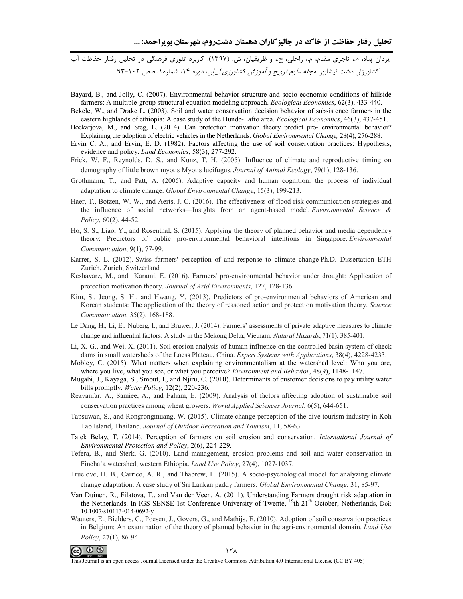Bayard, B., and Jolly, C. (2007). Environmental behavior structure and socio-economic conditions of hillside farmers: A multiple-group structural equation modeling approach. *Ecological Economics*, 62(3), 433-440.

Bekele, W., and Drake L. (2003). Soil and water conservation decision behavior of subsistence farmers in the eastern highlands of ethiopia: A case study of the Hunde-Lafto area. *Ecological Economics*, 46(3), 437-451.

Bockarjova, M., and Steg, L. (2014). Can protection motivation theory predict pro-environmental behavior? Explaining the adoption of electric vehicles in the Netherlands. *Global Environmental Change*, 28(4), 276-288.

Ervin C. A., and Ervin, E. D. (1982). Factors affecting the use of soil conservation practices: Hypothesis, evidence and policy. *Land Economics*, 58(3), 277-292.

- Frick, W. F., Reynolds, D. S., and Kunz, T. H. (2005). Influence of climate and reproductive timing on demography of little brown myotis Myotis lucifugus. Journal of Animal Ecology, 79(1), 128-136.
- Grothmann, T., and Patt, A. (2005). Adaptive capacity and human cognition: the process of individual adaptation to climate change. Global Environmental Change, 15(3), 199-213.
- Haer, T., Botzen, W. W., and Aerts, J. C. (2016). The effectiveness of flood risk communication strategies and the influence of social networks—Insights from an agent-based model. *Environmental Science*  $\&$ Policy, 60(2), 44-52.
- Ho, S. S., Liao, Y., and Rosenthal, S. (2015). Applying the theory of planned behavior and media dependency theory: Predictors of public pro-environmental behavioral intentions in Singapore. Environmental Communication, 9(1), 77-99.
- Karrer, S. L. (2012). Swiss farmers' perception of and response to climate change Ph.D. Dissertation ETH Zurich, Zurich, Switzerland
- Keshavarz, M., and Karami, E. (2016). Farmers' pro-environmental behavior under drought: Application of protection motivation theory. Journal of Arid Environments, 127, 128-136.
- Kim, S., Jeong, S. H., and Hwang, Y. (2013). Predictors of pro-environmental behaviors of American and Korean students: The application of the theory of reasoned action and protection motivation theory. Science Communication, 35(2), 168-188.
- Le Dang, H., Li, E., Nuberg, I., and Bruwer, J. (2014). Farmers' assessments of private adaptive measures to climate change and influential factors: A study in the Mekong Delta, Vietnam. Natural Hazards, 71(1), 385-401.
- Li, X. G., and Wei, X. (2011). Soil erosion analysis of human influence on the controlled basin system of check dams in small watersheds of the Loess Plateau, China. Expert Systems with Applications, 38(4), 4228-4233.
- Mobley, C. (2015). What matters when explaining environmentalism at the watershed level: Who you are, where you live, what you see, or what you perceive? *Environment and Behavior*, 48(9), 1148-1147.
- Mugabi, J., Kayaga, S., Smout, I., and Njiru, C. (2010). Determinants of customer decisions to pay utility water bills promptly. Water Policy, 12(2), 220-236.
- Rezvanfar, A., Samiee, A., and Faham, E. (2009). Analysis of factors affecting adoption of sustainable soil conservation practices among wheat growers. World Applied Sciences Journal, 6(5), 644-651.
- Tapsuwan, S., and Rongrongmuang, W. (2015). Climate change perception of the dive tourism industry in Koh Tao Island, Thailand. Journal of Outdoor Recreation and Tourism, 11, 58-63.
- Tatek Belay, T. (2014). Perception of farmers on soil erosion and conservation. International Journal of Environmental Protection and Policy, 2(6), 224-229.
- Tefera, B., and Sterk, G. (2010). Land management, erosion problems and soil and water conservation in Fincha'a watershed, western Ethiopia. Land Use Policy, 27(4), 1027-1037.
- Truelove, H. B., Carrico, A. R., and Thabrew, L. (2015). A socio-psychological model for analyzing climate change adaptation: A case study of Sri Lankan paddy farmers. *Global Environmental Change*, 31, 85-97.
- Van Duinen, R., Filatova, T., and Van der Veen, A. (2011). Understanding Farmers drought risk adaptation in the Netherlands. In IGS-SENSE 1st Conference University of Twente, <sup>19</sup>th-21<sup>th</sup> October, Netherlands, Doi: 10.1007/s10113-014-0692-y
- Wauters, E., Bielders, C., Poesen, J., Govers, G., and Mathijs, E. (2010). Adoption of soil conservation practices in Belgium: An examination of the theory of planned behavior in the agri-environmental domain. Land Use Policy, 27(1), 86-94.



This Journal is an open access Journal Licensed under the Creative Commons Attribution 4.0 International License (CC BY 405)